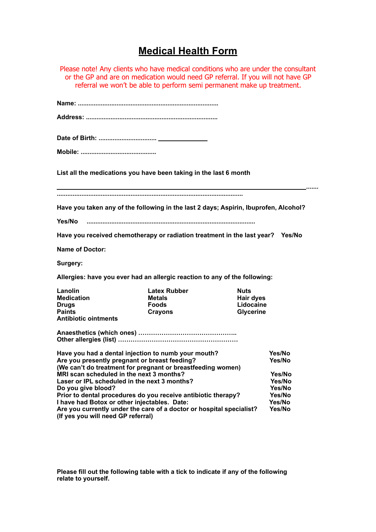## **Medical Health Form**

Please note! Any clients who have medical conditions who are under the consultant or the GP and are on medication would need GP referral. If you will not have GP referral we won't be able to perform semi permanent make up treatment. **Name: ................................................................................ Address: ........................................................................... Date of Birth: ................................. Mobile: ........................................... List all the medications you have been taking in the last 6 month ....... .......................................................................................................... Have you taken any of the following in the last 2 days; Aspirin, Ibuprofen, Alcohol? Yes/No ................................................................................................ Have you received chemotherapy or radiation treatment in the last year? Yes/No Name of Doctor: Surgery: Allergies: have you ever had an allergic reaction to any of the following: Lanolin Latex Rubber Nuts Medication Metals Medication Medication** Metals **Hair dyes Drugs Constitution Constitution Constitution Constitution Constitution Constitution Constitution Constitution Constitution Constitution Constitution Constitution Constitution Constitution Constitution Constitution Constit Paints Crayons Crayons Glycerine Antibiotic ointments Anaesthetics (which ones) ……………………………………….. Other allergies (list) ………………………………………………… Have you had a dental injection to numb your mouth? Yes/No**  Are you presently pregnant or breast feeding? **(We can't do treatment for pregnant or breastfeeding women) MRI scan scheduled in the next 3 months? Yes/No Laser or IPL scheduled in the next 3 months? Yes/No Do you give blood? Yes/No Prior to dental procedures do you receive antibiotic therapy? Yes/No I have had Botox or other injectables. Date: Yes/No**  Are you currently under the care of a doctor or hospital specialist? **(If yes you will need GP referral)** 

**Please fill out the following table with a tick to indicate if any of the following relate to yourself.**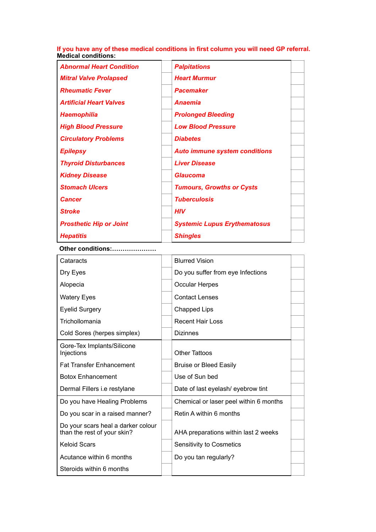**If you have any of these medical conditions in first column you will need GP referral. Medical conditions:** 

| <b>Abnormal Heart Condition</b> | <b>Palpitations</b>                  |  |
|---------------------------------|--------------------------------------|--|
| <b>Mitral Valve Prolapsed</b>   | <b>Heart Murmur</b>                  |  |
| <b>Rheumatic Fever</b>          | <b>Pacemaker</b>                     |  |
| <b>Artificial Heart Valves</b>  | <b>Anaemia</b>                       |  |
| <b>Haemophilia</b>              | <b>Prolonged Bleeding</b>            |  |
| <b>High Blood Pressure</b>      | <b>Low Blood Pressure</b>            |  |
| <b>Circulatory Problems</b>     | <b>Diabetes</b>                      |  |
| <b>Epilepsy</b>                 | <b>Auto immune system conditions</b> |  |
| <b>Thyroid Disturbances</b>     | <b>Liver Disease</b>                 |  |
| <b>Kidney Disease</b>           | <b>Glaucoma</b>                      |  |
| <b>Stomach Ulcers</b>           | <b>Tumours, Growths or Cysts</b>     |  |
| <b>Cancer</b>                   | <b>Tuberculosis</b>                  |  |
| <b>Stroke</b>                   | <b>HIV</b>                           |  |
| <b>Prosthetic Hip or Joint</b>  | <b>Systemic Lupus Erythematosus</b>  |  |
| <b>Hepatitis</b>                | <b>Shingles</b>                      |  |

## **Other conditions:…………………**

| Cataracts                                                         | <b>Blurred Vision</b>                  |  |
|-------------------------------------------------------------------|----------------------------------------|--|
| Dry Eyes                                                          | Do you suffer from eye Infections      |  |
| Alopecia                                                          | <b>Occular Herpes</b>                  |  |
| <b>Watery Eyes</b>                                                | <b>Contact Lenses</b>                  |  |
| <b>Eyelid Surgery</b>                                             | <b>Chapped Lips</b>                    |  |
| Trichollomania                                                    | <b>Recent Hair Loss</b>                |  |
| Cold Sores (herpes simplex)                                       | <b>Dizinnes</b>                        |  |
| Gore-Tex Implants/Silicone<br>Injections                          | <b>Other Tattoos</b>                   |  |
| <b>Fat Transfer Enhancement</b>                                   | <b>Bruise or Bleed Easily</b>          |  |
| <b>Botox Enhancement</b>                                          | Use of Sun bed                         |  |
| Dermal Fillers i.e restylane                                      | Date of last eyelash/eyebrow tint      |  |
| Do you have Healing Problems                                      | Chemical or laser peel within 6 months |  |
| Do you scar in a raised manner?                                   | Retin A within 6 months                |  |
| Do your scars heal a darker colour<br>than the rest of your skin? | AHA preparations within last 2 weeks   |  |
| <b>Keloid Scars</b>                                               | <b>Sensitivity to Cosmetics</b>        |  |
| Acutance within 6 months                                          | Do you tan regularly?                  |  |
| Steroids within 6 months                                          |                                        |  |